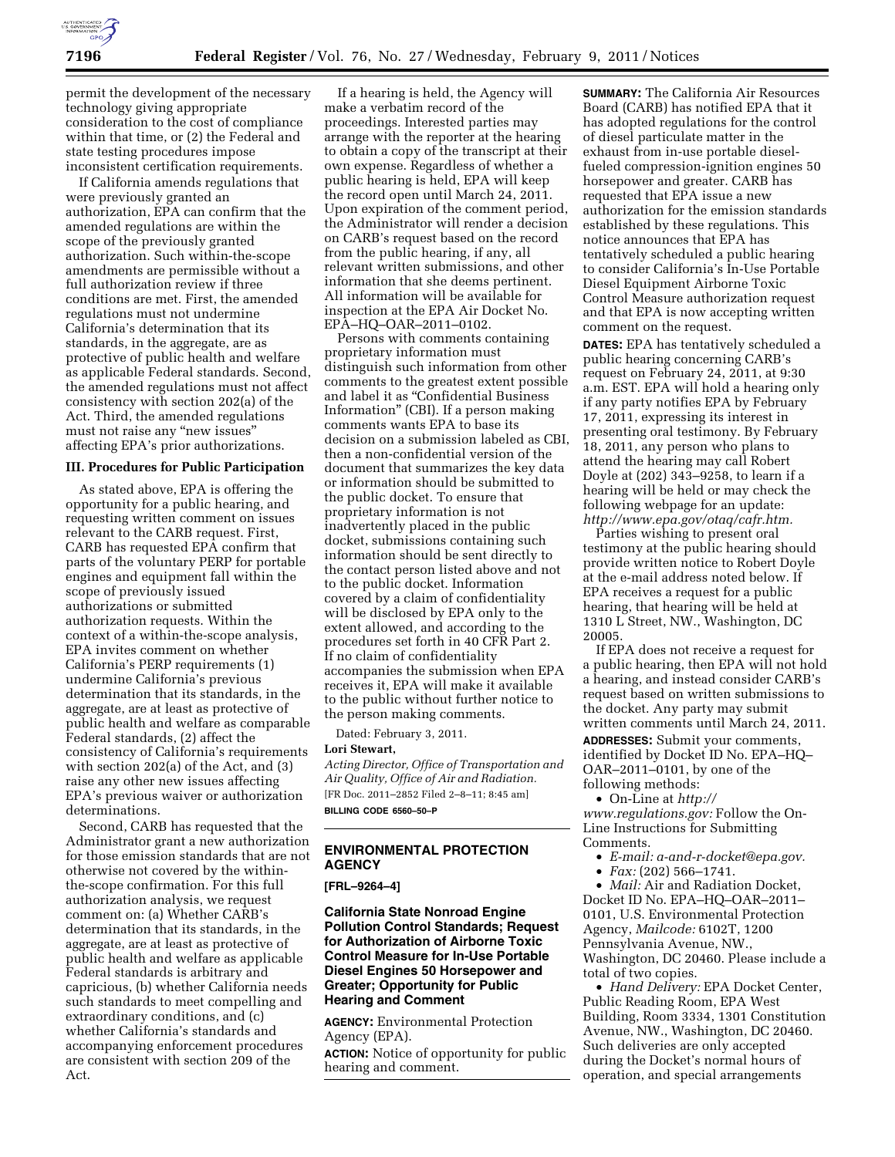

permit the development of the necessary technology giving appropriate consideration to the cost of compliance within that time, or (2) the Federal and state testing procedures impose inconsistent certification requirements.

If California amends regulations that were previously granted an authorization, EPA can confirm that the amended regulations are within the scope of the previously granted authorization. Such within-the-scope amendments are permissible without a full authorization review if three conditions are met. First, the amended regulations must not undermine California's determination that its standards, in the aggregate, are as protective of public health and welfare as applicable Federal standards. Second, the amended regulations must not affect consistency with section 202(a) of the Act. Third, the amended regulations must not raise any ''new issues'' affecting EPA's prior authorizations.

#### **III. Procedures for Public Participation**

As stated above, EPA is offering the opportunity for a public hearing, and requesting written comment on issues relevant to the CARB request. First, CARB has requested EPA confirm that parts of the voluntary PERP for portable engines and equipment fall within the scope of previously issued authorizations or submitted authorization requests. Within the context of a within-the-scope analysis, EPA invites comment on whether California's PERP requirements (1) undermine California's previous determination that its standards, in the aggregate, are at least as protective of public health and welfare as comparable Federal standards, (2) affect the consistency of California's requirements with section 202(a) of the Act, and (3) raise any other new issues affecting EPA's previous waiver or authorization determinations.

Second, CARB has requested that the Administrator grant a new authorization for those emission standards that are not otherwise not covered by the withinthe-scope confirmation. For this full authorization analysis, we request comment on: (a) Whether CARB's determination that its standards, in the aggregate, are at least as protective of public health and welfare as applicable Federal standards is arbitrary and capricious, (b) whether California needs such standards to meet compelling and extraordinary conditions, and (c) whether California's standards and accompanying enforcement procedures are consistent with section 209 of the Act.

If a hearing is held, the Agency will make a verbatim record of the proceedings. Interested parties may arrange with the reporter at the hearing to obtain a copy of the transcript at their own expense. Regardless of whether a public hearing is held, EPA will keep the record open until March 24, 2011. Upon expiration of the comment period, the Administrator will render a decision on CARB's request based on the record from the public hearing, if any, all relevant written submissions, and other information that she deems pertinent. All information will be available for inspection at the EPA Air Docket No. EPA–HQ–OAR–2011–0102.

Persons with comments containing proprietary information must distinguish such information from other comments to the greatest extent possible and label it as ''Confidential Business Information'' (CBI). If a person making comments wants EPA to base its decision on a submission labeled as CBI, then a non-confidential version of the document that summarizes the key data or information should be submitted to the public docket. To ensure that proprietary information is not inadvertently placed in the public docket, submissions containing such information should be sent directly to the contact person listed above and not to the public docket. Information covered by a claim of confidentiality will be disclosed by EPA only to the extent allowed, and according to the procedures set forth in 40 CFR Part 2. If no claim of confidentiality accompanies the submission when EPA receives it, EPA will make it available to the public without further notice to the person making comments.

Dated: February 3, 2011.

#### **Lori Stewart,**

*Acting Director, Office of Transportation and Air Quality, Office of Air and Radiation.*  [FR Doc. 2011–2852 Filed 2–8–11; 8:45 am] **BILLING CODE 6560–50–P** 

## **ENVIRONMENTAL PROTECTION AGENCY**

**[FRL–9264–4]** 

### **California State Nonroad Engine Pollution Control Standards; Request for Authorization of Airborne Toxic Control Measure for In-Use Portable Diesel Engines 50 Horsepower and Greater; Opportunity for Public Hearing and Comment**

**AGENCY:** Environmental Protection Agency (EPA).

**ACTION:** Notice of opportunity for public hearing and comment.

**SUMMARY:** The California Air Resources Board (CARB) has notified EPA that it has adopted regulations for the control of diesel particulate matter in the exhaust from in-use portable dieselfueled compression-ignition engines 50 horsepower and greater. CARB has requested that EPA issue a new authorization for the emission standards established by these regulations. This notice announces that EPA has tentatively scheduled a public hearing to consider California's In-Use Portable Diesel Equipment Airborne Toxic Control Measure authorization request and that EPA is now accepting written comment on the request.

**DATES:** EPA has tentatively scheduled a public hearing concerning CARB's request on February 24, 2011, at 9:30 a.m. EST. EPA will hold a hearing only if any party notifies EPA by February 17, 2011, expressing its interest in presenting oral testimony. By February 18, 2011, any person who plans to attend the hearing may call Robert Doyle at (202) 343–9258, to learn if a hearing will be held or may check the following webpage for an update: *[http://www.epa.gov/otaq/cafr.htm.](http://www.epa.gov/otaq/cafr.htm)* 

Parties wishing to present oral testimony at the public hearing should provide written notice to Robert Doyle at the e-mail address noted below. If EPA receives a request for a public hearing, that hearing will be held at 1310 L Street, NW., Washington, DC 20005.

If EPA does not receive a request for a public hearing, then EPA will not hold a hearing, and instead consider CARB's request based on written submissions to the docket. Any party may submit written comments until March 24, 2011.

**ADDRESSES:** Submit your comments, identified by Docket ID No. EPA–HQ– OAR–2011–0101, by one of the following methods:

• On-Line at *[http://](http://www.regulations.gov) [www.regulations.gov:](http://www.regulations.gov)* Follow the On-Line Instructions for Submitting Comments.

- *E-mail: [a-and-r-docket@epa.gov.](mailto:a-and-r-docket@epa.gov)*
- *Fax:* (202) 566–1741.

• *Mail:* Air and Radiation Docket, Docket ID No. EPA–HQ–OAR–2011– 0101, U.S. Environmental Protection Agency, *Mailcode:* 6102T, 1200 Pennsylvania Avenue, NW., Washington, DC 20460. Please include a total of two copies.

• *Hand Delivery:* EPA Docket Center, Public Reading Room, EPA West Building, Room 3334, 1301 Constitution Avenue, NW., Washington, DC 20460. Such deliveries are only accepted during the Docket's normal hours of operation, and special arrangements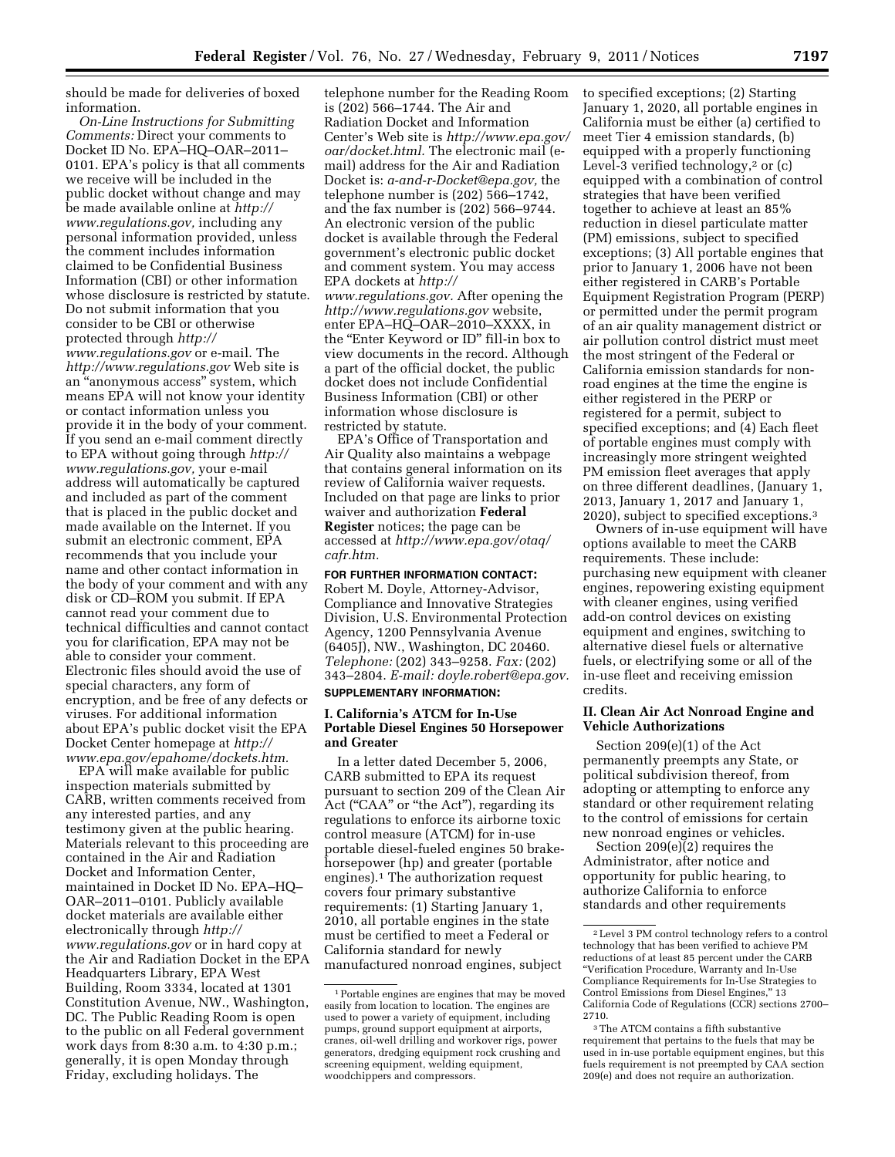should be made for deliveries of boxed information.

*On-Line Instructions for Submitting Comments:* Direct your comments to Docket ID No. EPA–HQ–OAR–2011– 0101. EPA's policy is that all comments we receive will be included in the public docket without change and may be made available online at *[http://](http://www.regulations.gov)  [www.regulations.gov,](http://www.regulations.gov)* including any personal information provided, unless the comment includes information claimed to be Confidential Business Information (CBI) or other information whose disclosure is restricted by statute. Do not submit information that you consider to be CBI or otherwise protected through *[http://](http://www.regulations.gov)  [www.regulations.gov](http://www.regulations.gov)* or e-mail. The *<http://www.regulations.gov>* Web site is an ''anonymous access'' system, which means EPA will not know your identity or contact information unless you provide it in the body of your comment. If you send an e-mail comment directly to EPA without going through *[http://](http://www.regulations.gov) [www.regulations.gov,](http://www.regulations.gov)* your e-mail address will automatically be captured and included as part of the comment that is placed in the public docket and made available on the Internet. If you submit an electronic comment, EPA recommends that you include your name and other contact information in the body of your comment and with any disk or CD–ROM you submit. If EPA cannot read your comment due to technical difficulties and cannot contact you for clarification, EPA may not be able to consider your comment. Electronic files should avoid the use of special characters, any form of encryption, and be free of any defects or viruses. For additional information about EPA's public docket visit the EPA Docket Center homepage at *[http://](http://www.epa.gov/epahome/dockets.htm) [www.epa.gov/epahome/dockets.htm.](http://www.epa.gov/epahome/dockets.htm)* 

EPA will make available for public inspection materials submitted by CARB, written comments received from any interested parties, and any testimony given at the public hearing. Materials relevant to this proceeding are contained in the Air and Radiation Docket and Information Center, maintained in Docket ID No. EPA–HQ– OAR–2011–0101. Publicly available docket materials are available either electronically through *[http://](http://www.regulations.gov) [www.regulations.gov](http://www.regulations.gov)* or in hard copy at the Air and Radiation Docket in the EPA Headquarters Library, EPA West Building, Room 3334, located at 1301 Constitution Avenue, NW., Washington, DC. The Public Reading Room is open to the public on all Federal government work days from 8:30 a.m. to 4:30 p.m.; generally, it is open Monday through Friday, excluding holidays. The

telephone number for the Reading Room is (202) 566–1744. The Air and Radiation Docket and Information Center's Web site is *[http://www.epa.gov/](http://www.epa.gov/oar/docket.html) [oar/docket.html.](http://www.epa.gov/oar/docket.html)* The electronic mail (email) address for the Air and Radiation Docket is: *[a-and-r-Docket@epa.gov,](mailto:a-and-r-Docket@epa.gov)* the telephone number is (202) 566–1742, and the fax number is (202) 566–9744. An electronic version of the public docket is available through the Federal government's electronic public docket and comment system. You may access EPA dockets at *[http://](http://www.regulations.gov)  [www.regulations.gov.](http://www.regulations.gov)* After opening the *<http://www.regulations.gov>* website, enter EPA–HQ–OAR–2010–XXXX, in the ''Enter Keyword or ID'' fill-in box to view documents in the record. Although a part of the official docket, the public docket does not include Confidential Business Information (CBI) or other information whose disclosure is restricted by statute.

EPA's Office of Transportation and Air Quality also maintains a webpage that contains general information on its review of California waiver requests. Included on that page are links to prior waiver and authorization **Federal Register** notices; the page can be accessed at *[http://www.epa.gov/otaq/](http://www.epa.gov/otaq/cafr.htm)  [cafr.htm.](http://www.epa.gov/otaq/cafr.htm)* 

## **FOR FURTHER INFORMATION CONTACT:**  Robert M. Doyle, Attorney-Advisor, Compliance and Innovative Strategies Division, U.S. Environmental Protection Agency, 1200 Pennsylvania Avenue (6405J), NW., Washington, DC 20460. *Telephone:* (202) 343–9258. *Fax:* (202) 343–2804. *E-mail: [doyle.robert@epa.gov.](mailto:doyle.robert@epa.gov)*

# **SUPPLEMENTARY INFORMATION:**

### **I. California's ATCM for In-Use Portable Diesel Engines 50 Horsepower and Greater**

In a letter dated December 5, 2006, CARB submitted to EPA its request pursuant to section 209 of the Clean Air Act ("CAA" or "the Act"), regarding its regulations to enforce its airborne toxic control measure (ATCM) for in-use portable diesel-fueled engines 50 brakehorsepower (hp) and greater (portable engines).1 The authorization request covers four primary substantive requirements: (1) Starting January 1, 2010, all portable engines in the state must be certified to meet a Federal or California standard for newly manufactured nonroad engines, subject

to specified exceptions; (2) Starting January 1, 2020, all portable engines in California must be either (a) certified to meet Tier 4 emission standards, (b) equipped with a properly functioning Level-3 verified technology,<sup>2</sup> or  $(c)$ equipped with a combination of control strategies that have been verified together to achieve at least an 85% reduction in diesel particulate matter (PM) emissions, subject to specified exceptions; (3) All portable engines that prior to January 1, 2006 have not been either registered in CARB's Portable Equipment Registration Program (PERP) or permitted under the permit program of an air quality management district or air pollution control district must meet the most stringent of the Federal or California emission standards for nonroad engines at the time the engine is either registered in the PERP or registered for a permit, subject to specified exceptions; and (4) Each fleet of portable engines must comply with increasingly more stringent weighted PM emission fleet averages that apply on three different deadlines, (January 1, 2013, January 1, 2017 and January 1, 2020), subject to specified exceptions.3

Owners of in-use equipment will have options available to meet the CARB requirements. These include: purchasing new equipment with cleaner engines, repowering existing equipment with cleaner engines, using verified add-on control devices on existing equipment and engines, switching to alternative diesel fuels or alternative fuels, or electrifying some or all of the in-use fleet and receiving emission credits.

### **II. Clean Air Act Nonroad Engine and Vehicle Authorizations**

Section 209(e)(1) of the Act permanently preempts any State, or political subdivision thereof, from adopting or attempting to enforce any standard or other requirement relating to the control of emissions for certain new nonroad engines or vehicles.

Section 209(e)(2) requires the Administrator, after notice and opportunity for public hearing, to authorize California to enforce standards and other requirements

<sup>1</sup>Portable engines are engines that may be moved easily from location to location. The engines are used to power a variety of equipment, including pumps, ground support equipment at airports, cranes, oil-well drilling and workover rigs, power generators, dredging equipment rock crushing and screening equipment, welding equipment, woodchippers and compressors.

<sup>2</sup>Level 3 PM control technology refers to a control technology that has been verified to achieve PM reductions of at least 85 percent under the CARB ''Verification Procedure, Warranty and In-Use Compliance Requirements for In-Use Strategies to Control Emissions from Diesel Engines,'' 13 California Code of Regulations (CCR) sections 2700– 2710.

<sup>3</sup>The ATCM contains a fifth substantive requirement that pertains to the fuels that may be used in in-use portable equipment engines, but this fuels requirement is not preempted by CAA section 209(e) and does not require an authorization.